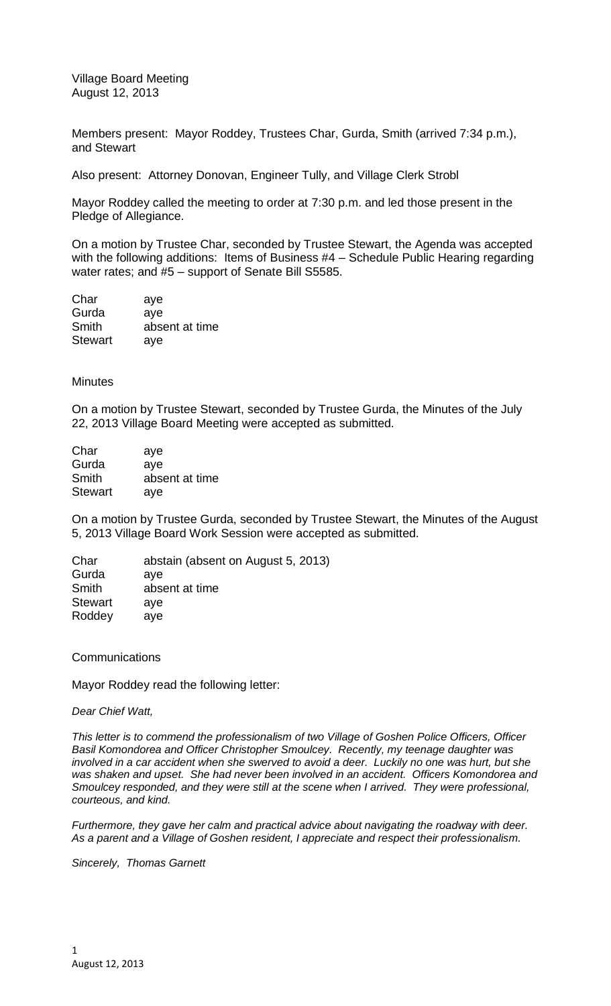Village Board Meeting August 12, 2013

Members present: Mayor Roddey, Trustees Char, Gurda, Smith (arrived 7:34 p.m.), and Stewart

Also present: Attorney Donovan, Engineer Tully, and Village Clerk Strobl

Mayor Roddey called the meeting to order at 7:30 p.m. and led those present in the Pledge of Allegiance.

On a motion by Trustee Char, seconded by Trustee Stewart, the Agenda was accepted with the following additions: Items of Business #4 – Schedule Public Hearing regarding water rates; and #5 – support of Senate Bill S5585.

| Char           | aye            |
|----------------|----------------|
| Gurda          | aye            |
| Smith          | absent at time |
| <b>Stewart</b> | aye            |

## **Minutes**

On a motion by Trustee Stewart, seconded by Trustee Gurda, the Minutes of the July 22, 2013 Village Board Meeting were accepted as submitted.

| Char           | aye            |
|----------------|----------------|
| Gurda          | ave            |
| Smith          | absent at time |
| <b>Stewart</b> | ave            |

On a motion by Trustee Gurda, seconded by Trustee Stewart, the Minutes of the August 5, 2013 Village Board Work Session were accepted as submitted.

Char abstain (absent on August 5, 2013) Gurda aye Smith absent at time Stewart aye Roddey aye

**Communications** 

Mayor Roddey read the following letter:

## *Dear Chief Watt,*

*This letter is to commend the professionalism of two Village of Goshen Police Officers, Officer Basil Komondorea and Officer Christopher Smoulcey. Recently, my teenage daughter was involved in a car accident when she swerved to avoid a deer. Luckily no one was hurt, but she was shaken and upset. She had never been involved in an accident. Officers Komondorea and Smoulcey responded, and they were still at the scene when I arrived. They were professional, courteous, and kind.*

*Furthermore, they gave her calm and practical advice about navigating the roadway with deer. As a parent and a Village of Goshen resident, I appreciate and respect their professionalism.*

*Sincerely, Thomas Garnett*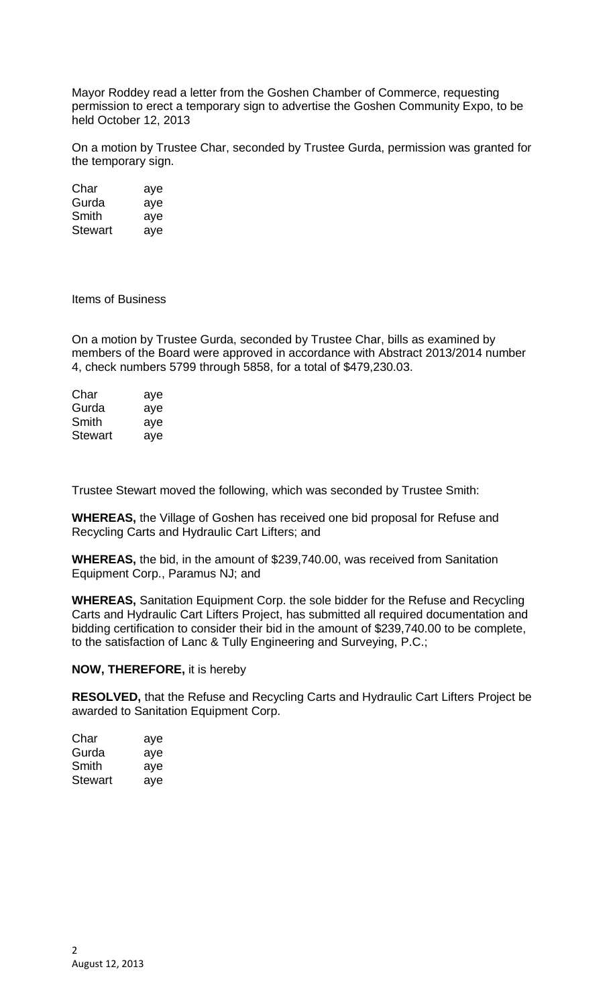Mayor Roddey read a letter from the Goshen Chamber of Commerce, requesting permission to erect a temporary sign to advertise the Goshen Community Expo, to be held October 12, 2013

On a motion by Trustee Char, seconded by Trustee Gurda, permission was granted for the temporary sign.

| Char    | aye |
|---------|-----|
| Gurda   | aye |
| Smith   | aye |
| Stewart | aye |

Items of Business

On a motion by Trustee Gurda, seconded by Trustee Char, bills as examined by members of the Board were approved in accordance with Abstract 2013/2014 number 4, check numbers 5799 through 5858, for a total of \$479,230.03.

| Char    | aye |
|---------|-----|
| Gurda   | aye |
| Smith   | aye |
| Stewart | ave |

Trustee Stewart moved the following, which was seconded by Trustee Smith:

**WHEREAS,** the Village of Goshen has received one bid proposal for Refuse and Recycling Carts and Hydraulic Cart Lifters; and

**WHEREAS,** the bid, in the amount of \$239,740.00, was received from Sanitation Equipment Corp., Paramus NJ; and

**WHEREAS,** Sanitation Equipment Corp. the sole bidder for the Refuse and Recycling Carts and Hydraulic Cart Lifters Project, has submitted all required documentation and bidding certification to consider their bid in the amount of \$239,740.00 to be complete, to the satisfaction of Lanc & Tully Engineering and Surveying, P.C.;

## **NOW, THEREFORE,** it is hereby

**RESOLVED,** that the Refuse and Recycling Carts and Hydraulic Cart Lifters Project be awarded to Sanitation Equipment Corp.

| Char    | aye |
|---------|-----|
| Gurda   | aye |
| Smith   | aye |
| Stewart | aye |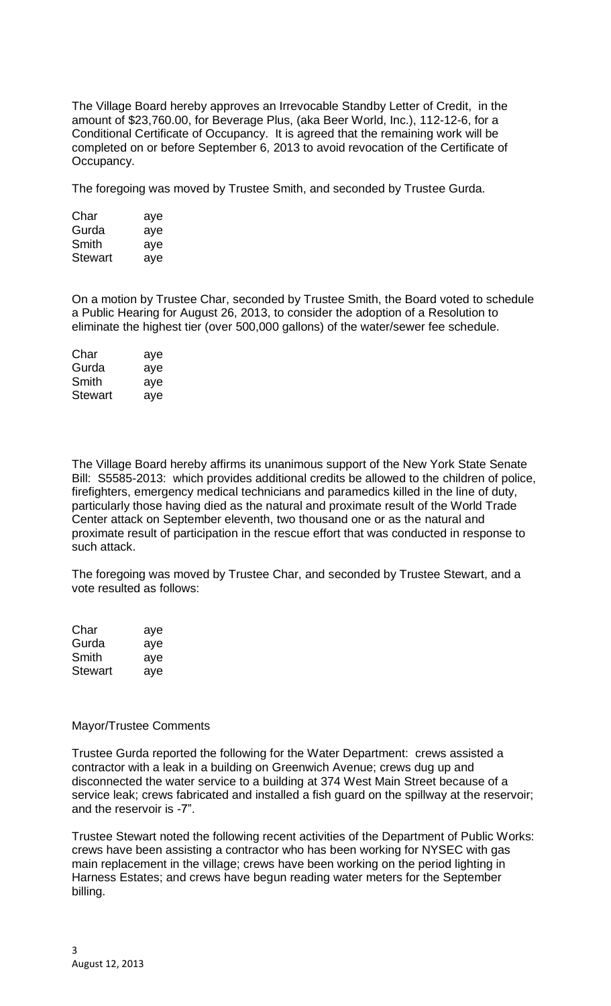The Village Board hereby approves an Irrevocable Standby Letter of Credit, in the amount of \$23,760.00, for Beverage Plus, (aka Beer World, Inc.), 112-12-6, for a Conditional Certificate of Occupancy. It is agreed that the remaining work will be completed on or before September 6, 2013 to avoid revocation of the Certificate of Occupancy.

The foregoing was moved by Trustee Smith, and seconded by Trustee Gurda.

| Char    | aye |
|---------|-----|
| Gurda   | aye |
| Smith   | aye |
| Stewart | ave |

On a motion by Trustee Char, seconded by Trustee Smith, the Board voted to schedule a Public Hearing for August 26, 2013, to consider the adoption of a Resolution to eliminate the highest tier (over 500,000 gallons) of the water/sewer fee schedule.

| Char    | aye |
|---------|-----|
| Gurda   | aye |
| Smith   | aye |
| Stewart | aye |

The Village Board hereby affirms its unanimous support of the New York State Senate Bill: S5585-2013: which provides additional credits be allowed to the children of police, firefighters, emergency medical technicians and paramedics killed in the line of duty, particularly those having died as the natural and proximate result of the World Trade Center attack on September eleventh, two thousand one or as the natural and proximate result of participation in the rescue effort that was conducted in response to such attack.

The foregoing was moved by Trustee Char, and seconded by Trustee Stewart, and a vote resulted as follows:

| Char           | aye |
|----------------|-----|
| Gurda          | aye |
| Smith          | aye |
| <b>Stewart</b> | aye |

## Mayor/Trustee Comments

Trustee Gurda reported the following for the Water Department: crews assisted a contractor with a leak in a building on Greenwich Avenue; crews dug up and disconnected the water service to a building at 374 West Main Street because of a service leak; crews fabricated and installed a fish guard on the spillway at the reservoir; and the reservoir is -7".

Trustee Stewart noted the following recent activities of the Department of Public Works: crews have been assisting a contractor who has been working for NYSEC with gas main replacement in the village; crews have been working on the period lighting in Harness Estates; and crews have begun reading water meters for the September billing.